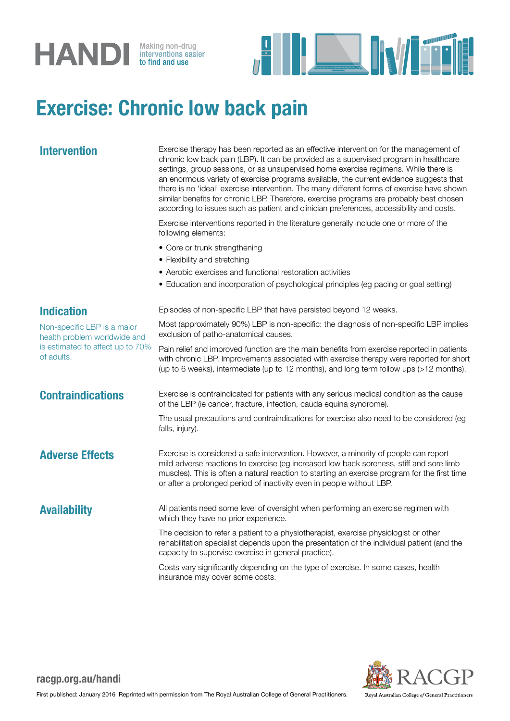



## Exercise: Chronic low back pain

Intervention Exercise therapy has been reported as an effective intervention for the management of chronic low back pain (LBP). It can be provided as a supervised program in healthcare settings, group sessions, or as unsupervised home exercise regimens. While there is an enormous variety of exercise programs available, the current evidence suggests that there is no 'ideal' exercise intervention. The many different forms of exercise have shown similar benefits for chronic LBP. Therefore, exercise programs are probably best chosen according to issues such as patient and clinician preferences, accessibility and costs.

> Exercise interventions reported in the literature generally include one or more of the following elements:

- Core or trunk strengthening
- Flexibility and stretching
- Aerobic exercises and functional restoration activities

## • Education and incorporation of psychological principles (eg pacing or goal setting) Indication Non-specific LBP is a major health problem worldwide and is estimated to affect up to 70% of adults. Episodes of non-specific LBP that have persisted beyond 12 weeks. Most (approximately 90%) LBP is non-specific: the diagnosis of non-specific LBP implies exclusion of patho-anatomical causes. Pain relief and improved function are the main benefits from exercise reported in patients with chronic LBP. Improvements associated with exercise therapy were reported for short (up to 6 weeks), intermediate (up to 12 months), and long term follow ups (>12 months). **Contraindications** Exercise is contraindicated for patients with any serious medical condition as the cause of the LBP (ie cancer, fracture, infection, cauda equina syndrome). The usual precautions and contraindications for exercise also need to be considered (eg falls, injury). Adverse Effects Exercise is considered a safe intervention. However, a minority of people can report mild adverse reactions to exercise (eg increased low back soreness, stiff and sore limb muscles). This is often a natural reaction to starting an exercise program for the first time or after a prolonged period of inactivity even in people without LBP. Availability All patients need some level of oversight when performing an exercise regimen with which they have no prior experience. The decision to refer a patient to a physiotherapist, exercise physiologist or other rehabilitation specialist depends upon the presentation of the individual patient (and the capacity to supervise exercise in general practice). Costs vary significantly depending on the type of exercise. In some cases, health insurance may cover some costs.



### racgp.org.au/handi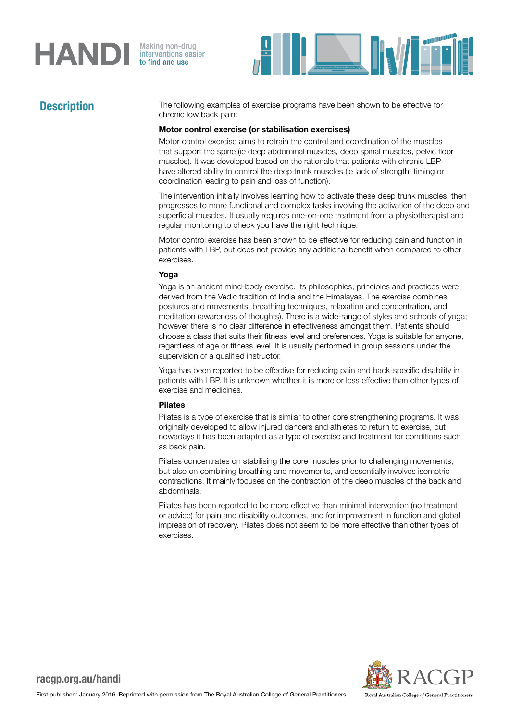# **HANDI**

Making non-drug<br>interventions easier<br>**to find and use** 



**Description** The following examples of exercise programs have been shown to be effective for chronic low back pain:

### Motor control exercise (or stabilisation exercises)

Motor control exercise aims to retrain the control and coordination of the muscles that support the spine (ie deep abdominal muscles, deep spinal muscles, pelvic floor muscles). It was developed based on the rationale that patients with chronic LBP have altered ability to control the deep trunk muscles (ie lack of strength, timing or coordination leading to pain and loss of function).

The intervention initially involves learning how to activate these deep trunk muscles, then progresses to more functional and complex tasks involving the activation of the deep and superficial muscles. It usually requires one-on-one treatment from a physiotherapist and regular monitoring to check you have the right technique.

Motor control exercise has been shown to be effective for reducing pain and function in patients with LBP, but does not provide any additional benefit when compared to other exercises.

### Yoga

Yoga is an ancient mind-body exercise. Its philosophies, principles and practices were derived from the Vedic tradition of India and the Himalayas. The exercise combines postures and movements, breathing techniques, relaxation and concentration, and meditation (awareness of thoughts). There is a wide-range of styles and schools of yoga; however there is no clear difference in effectiveness amongst them. Patients should choose a class that suits their fitness level and preferences. Yoga is suitable for anyone, regardless of age or fitness level. It is usually performed in group sessions under the supervision of a qualified instructor.

Yoga has been reported to be effective for reducing pain and back-specific disability in patients with LBP. It is unknown whether it is more or less effective than other types of exercise and medicines.

### Pilates

Pilates is a type of exercise that is similar to other core strengthening programs. It was originally developed to allow injured dancers and athletes to return to exercise, but nowadays it has been adapted as a type of exercise and treatment for conditions such as back pain.

Pilates concentrates on stabilising the core muscles prior to challenging movements, but also on combining breathing and movements, and essentially involves isometric contractions. It mainly focuses on the contraction of the deep muscles of the back and abdominals.

Pilates has been reported to be more effective than minimal intervention (no treatment or advice) for pain and disability outcomes, and for improvement in function and global impression of recovery. Pilates does not seem to be more effective than other types of exercises.



## racgp.org.au/handi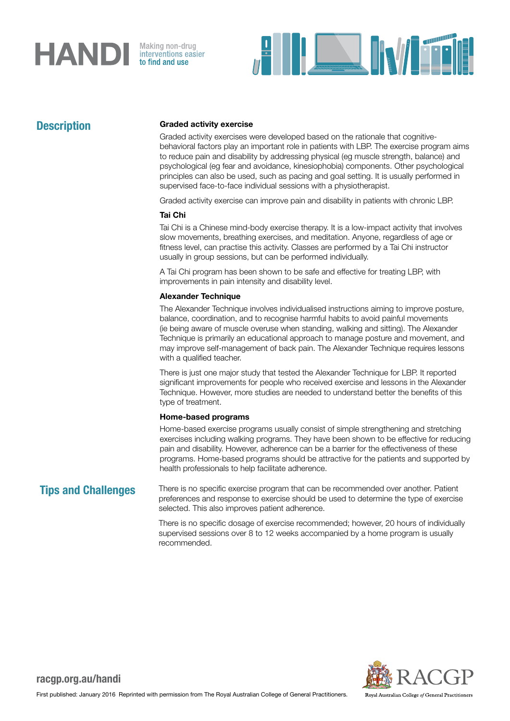## **HAND** Making non-drug



## **Description**

### Graded activity exercise

Graded activity exercises were developed based on the rationale that cognitivebehavioral factors play an important role in patients with LBP. The exercise program aims to reduce pain and disability by addressing physical (eg muscle strength, balance) and psychological (eg fear and avoidance, kinesiophobia) components. Other psychological principles can also be used, such as pacing and goal setting. It is usually performed in supervised face-to-face individual sessions with a physiotherapist.

Graded activity exercise can improve pain and disability in patients with chronic LBP.

### Tai Chi

Tai Chi is a Chinese mind-body exercise therapy. It is a low-impact activity that involves slow movements, breathing exercises, and meditation. Anyone, regardless of age or fitness level, can practise this activity. Classes are performed by a Tai Chi instructor usually in group sessions, but can be performed individually.

A Tai Chi program has been shown to be safe and effective for treating LBP, with improvements in pain intensity and disability level.

### Alexander Technique

The Alexander Technique involves individualised instructions aiming to improve posture, balance, coordination, and to recognise harmful habits to avoid painful movements (ie being aware of muscle overuse when standing, walking and sitting). The Alexander Technique is primarily an educational approach to manage posture and movement, and may improve self-management of back pain. The Alexander Technique requires lessons with a qualified teacher.

There is just one major study that tested the Alexander Technique for LBP. It reported significant improvements for people who received exercise and lessons in the Alexander Technique. However, more studies are needed to understand better the benefits of this type of treatment.

### Home-based programs

Home-based exercise programs usually consist of simple strengthening and stretching exercises including walking programs. They have been shown to be effective for reducing pain and disability. However, adherence can be a barrier for the effectiveness of these programs. Home-based programs should be attractive for the patients and supported by health professionals to help facilitate adherence.

**Tips and Challenges** There is no specific exercise program that can be recommended over another. Patient preferences and response to exercise should be used to determine the type of exercise selected. This also improves patient adherence.

> There is no specific dosage of exercise recommended; however, 20 hours of individually supervised sessions over 8 to 12 weeks accompanied by a home program is usually recommended.



## racgp.org.au/handi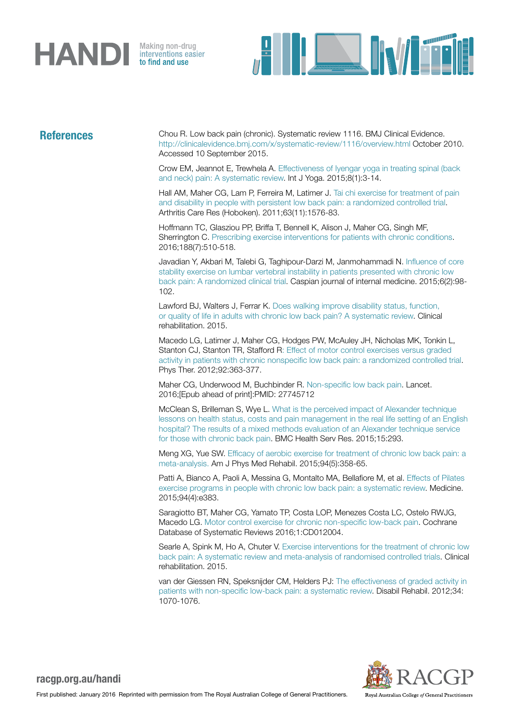



References Chou R. Low back pain (chronic). Systematic review 1116. BMJ Clinical Evidence. <http://clinicalevidence.bmj.com/x/systematic-review/1116/overview.html> October 2010. Accessed 10 September 2015.

> Crow EM, Jeannot E, Trewhela A. [Effectiveness of Iyengar yoga in treating spinal \(back](https://www.ncbi.nlm.nih.gov/pubmed/25558128)  [and neck\) pain: A systematic review.](https://www.ncbi.nlm.nih.gov/pubmed/25558128) Int J Yoga. 2015;8(1):3-14.

> Hall AM, Maher CG, Lam P, Ferreira M, Latimer J. [Tai chi exercise for treatment of pain](https://www.ncbi.nlm.nih.gov/pubmed/22034119)  [and disability in people with persistent low back pain: a randomized controlled trial](https://www.ncbi.nlm.nih.gov/pubmed/22034119). Arthritis Care Res (Hoboken). 2011;63(11):1576-83.

Hoffmann TC, Glasziou PP, Briffa T, Bennell K, Alison J, Maher CG, Singh MF, Sherrington C. [Prescribing exercise interventions for patients with chronic conditions](http://www.cmaj.ca/content/early/2016/03/14/cmaj.150684). 2016;188(7):510-518.

Javadian Y, Akbari M, Talebi G, Taghipour-Darzi M, Janmohammadi N. [Influence of core](https://www.ncbi.nlm.nih.gov/pmc/articles/PMC4478459/)  [stability exercise on lumbar vertebral instability in patients presented with chronic low](https://www.ncbi.nlm.nih.gov/pmc/articles/PMC4478459/)  [back pain: A randomized clinical trial.](https://www.ncbi.nlm.nih.gov/pmc/articles/PMC4478459/) Caspian journal of internal medicine. 2015;6(2):98- 102.

Lawford BJ, Walters J, Ferrar K. [Does walking improve disability status, function,](https://www.ncbi.nlm.nih.gov/pubmed/26088673)  [or quality of life in adults with chronic low back pain? A systematic review](https://www.ncbi.nlm.nih.gov/pubmed/26088673). Clinical rehabilitation. 2015.

Macedo LG, Latimer J, Maher CG, Hodges PW, McAuley JH, Nicholas MK, Tonkin L, Stanton CJ, Stanton TR, Stafford [R: Effect of motor control exercises versus graded](https://www.ncbi.nlm.nih.gov/pubmed/22135712)  [activity in patients with chronic nonspecific low back pain: a randomized controlled trial.](https://www.ncbi.nlm.nih.gov/pubmed/22135712) Phys Ther. 2012;92:363-377.

Maher CG, Underwood M, Buchbinder R. [Non-specific low back pain.](http://www.thelancet.com/journals/lancet/article/PIIS0140-6736(16)30970-9/abstract) Lancet. 2016;[Epub ahead of print]:PMID: 27745712

McClean S, Brilleman S, Wye L. [What is the perceived impact of Alexander technique](https://www.ncbi.nlm.nih.gov/pubmed/26215122)  [lessons on health status, costs and pain management in the real life setting of an English](https://www.ncbi.nlm.nih.gov/pubmed/26215122)  [hospital? The results of a mixed methods evaluation of an Alexander technique service](https://www.ncbi.nlm.nih.gov/pubmed/26215122)  [for those with chronic back pain.](https://www.ncbi.nlm.nih.gov/pubmed/26215122) BMC Health Serv Res. 2015;15:293.

Meng XG, Yue SW. [Efficacy of aerobic exercise for treatment of chronic low back pain: a](https://www.ncbi.nlm.nih.gov/pubmed/25299528)  [meta-analysis.](https://www.ncbi.nlm.nih.gov/pubmed/25299528) Am J Phys Med Rehabil. 2015;94(5):358-65.

Patti A, Bianco A, Paoli A, Messina G, Montalto MA, Bellafiore M, et al. [Effects of Pilates](https://www.ncbi.nlm.nih.gov/pubmed/25634166)  [exercise programs in people with chronic low back pain: a systematic review](https://www.ncbi.nlm.nih.gov/pubmed/25634166). Medicine. 2015;94(4):e383.

Saragiotto BT, Maher CG, Yamato TP, Costa LOP, Menezes Costa LC, Ostelo RWJG, Macedo LG. [Motor control exercise for chronic non-specific low-back pain](http://www.cochrane.org/CD012004/BACK_motor-control-exercise-chronic-non-specific-low-back-pain). Cochrane Database of Systematic Reviews 2016;1:CD012004.

Searle A, Spink M, Ho A, Chuter V. Exercise interventions for the treatment of chronic low [back pain: A systematic review and meta-analysis of randomised controlled trials.](https://www.ncbi.nlm.nih.gov/pubmed/25681408) Clinical rehabilitation. 2015.

van der Giessen RN, Speksnijder CM, Helders PJ: [The effectiveness of graded activity in](https://www.ncbi.nlm.nih.gov/pubmed/22148906)  [patients with non-specific low-back pain: a systematic review](https://www.ncbi.nlm.nih.gov/pubmed/22148906). Disabil Rehabil. 2012;34: 1070-1076.



racgp.org.au/handi